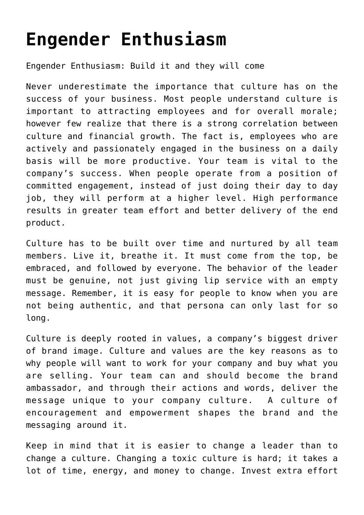## **[Engender Enthusiasm](https://ceoatlas.com/engender-enthusiasm/)**

Engender Enthusiasm: Build it and they will come

Never underestimate the importance that culture has on the success of your business. Most people understand culture is important to attracting employees and for overall morale; however few realize that there is a strong correlation between culture and financial growth. The fact is, employees who are actively and passionately engaged in the business on a daily basis will be more productive. Your team is vital to the company's success. When people operate from a position of committed engagement, instead of just doing their day to day job, they will perform at a higher level. High performance results in greater team effort and better delivery of the end product.

Culture has to be built over time and nurtured by all team members. Live it, breathe it. It must come from the top, be embraced, and followed by everyone. The behavior of the leader must be genuine, not just giving lip service with an empty message. Remember, it is easy for people to know when you are not being authentic, and that persona can only last for so long.

Culture is deeply rooted in values, a company's biggest driver of brand image. Culture and values are the key reasons as to why people will want to work for your company and buy what you are selling. Your team can and should become the brand ambassador, and through their actions and words, deliver the message unique to your company culture. A culture of encouragement and empowerment shapes the brand and the messaging around it.

Keep in mind that it is easier to change a leader than to change a culture. Changing a toxic culture is hard; it takes a lot of time, energy, and money to change. Invest extra effort